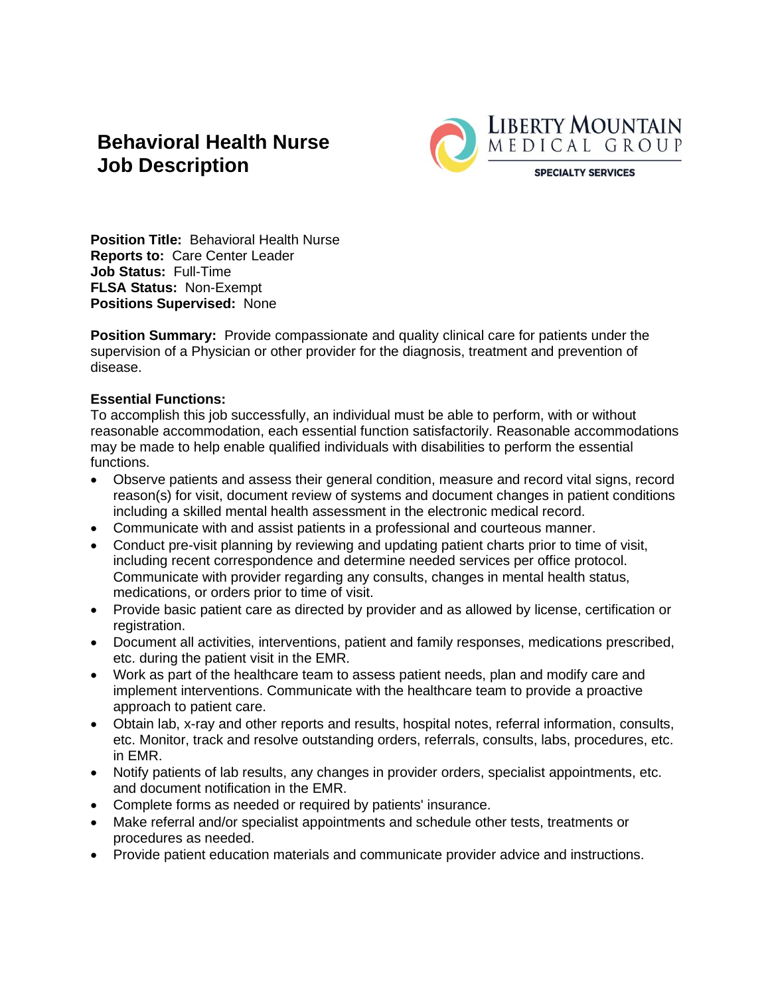# **Behavioral Health Nurse Job Description**



**Position Title:** Behavioral Health Nurse **Reports to:** Care Center Leader **Job Status:** Full-Time **FLSA Status:** Non-Exempt **Positions Supervised:** None

**Position Summary:** Provide compassionate and quality clinical care for patients under the supervision of a Physician or other provider for the diagnosis, treatment and prevention of disease.

## **Essential Functions:**

To accomplish this job successfully, an individual must be able to perform, with or without reasonable accommodation, each essential function satisfactorily. Reasonable accommodations may be made to help enable qualified individuals with disabilities to perform the essential functions.

- Observe patients and assess their general condition, measure and record vital signs, record reason(s) for visit, document review of systems and document changes in patient conditions including a skilled mental health assessment in the electronic medical record.
- Communicate with and assist patients in a professional and courteous manner.
- Conduct pre-visit planning by reviewing and updating patient charts prior to time of visit, including recent correspondence and determine needed services per office protocol. Communicate with provider regarding any consults, changes in mental health status, medications, or orders prior to time of visit.
- Provide basic patient care as directed by provider and as allowed by license, certification or registration.
- Document all activities, interventions, patient and family responses, medications prescribed, etc. during the patient visit in the EMR.
- Work as part of the healthcare team to assess patient needs, plan and modify care and implement interventions. Communicate with the healthcare team to provide a proactive approach to patient care.
- Obtain lab, x-ray and other reports and results, hospital notes, referral information, consults, etc. Monitor, track and resolve outstanding orders, referrals, consults, labs, procedures, etc. in EMR.
- Notify patients of lab results, any changes in provider orders, specialist appointments, etc. and document notification in the EMR.
- Complete forms as needed or required by patients' insurance.
- Make referral and/or specialist appointments and schedule other tests, treatments or procedures as needed.
- Provide patient education materials and communicate provider advice and instructions.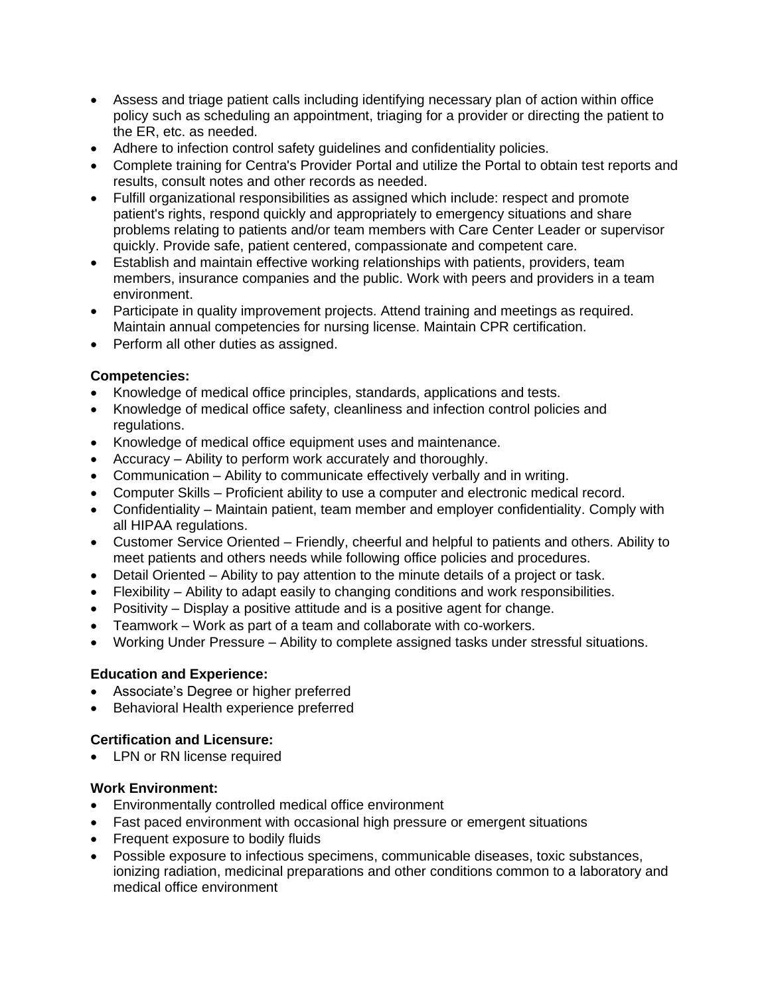- Assess and triage patient calls including identifying necessary plan of action within office policy such as scheduling an appointment, triaging for a provider or directing the patient to the ER, etc. as needed.
- Adhere to infection control safety guidelines and confidentiality policies.
- Complete training for Centra's Provider Portal and utilize the Portal to obtain test reports and results, consult notes and other records as needed.
- Fulfill organizational responsibilities as assigned which include: respect and promote patient's rights, respond quickly and appropriately to emergency situations and share problems relating to patients and/or team members with Care Center Leader or supervisor quickly. Provide safe, patient centered, compassionate and competent care.
- Establish and maintain effective working relationships with patients, providers, team members, insurance companies and the public. Work with peers and providers in a team environment.
- Participate in quality improvement projects. Attend training and meetings as required. Maintain annual competencies for nursing license. Maintain CPR certification.
- Perform all other duties as assigned.

### **Competencies:**

- Knowledge of medical office principles, standards, applications and tests.
- Knowledge of medical office safety, cleanliness and infection control policies and regulations.
- Knowledge of medical office equipment uses and maintenance.
- Accuracy Ability to perform work accurately and thoroughly.
- Communication Ability to communicate effectively verbally and in writing.
- Computer Skills Proficient ability to use a computer and electronic medical record.
- Confidentiality Maintain patient, team member and employer confidentiality. Comply with all HIPAA regulations.
- Customer Service Oriented Friendly, cheerful and helpful to patients and others. Ability to meet patients and others needs while following office policies and procedures.
- Detail Oriented Ability to pay attention to the minute details of a project or task.
- Flexibility Ability to adapt easily to changing conditions and work responsibilities.
- Positivity Display a positive attitude and is a positive agent for change.
- Teamwork Work as part of a team and collaborate with co-workers.
- Working Under Pressure Ability to complete assigned tasks under stressful situations.

#### **Education and Experience:**

- Associate's Degree or higher preferred
- Behavioral Health experience preferred

## **Certification and Licensure:**

• LPN or RN license required

#### **Work Environment:**

- Environmentally controlled medical office environment
- Fast paced environment with occasional high pressure or emergent situations
- Frequent exposure to bodily fluids
- Possible exposure to infectious specimens, communicable diseases, toxic substances, ionizing radiation, medicinal preparations and other conditions common to a laboratory and medical office environment